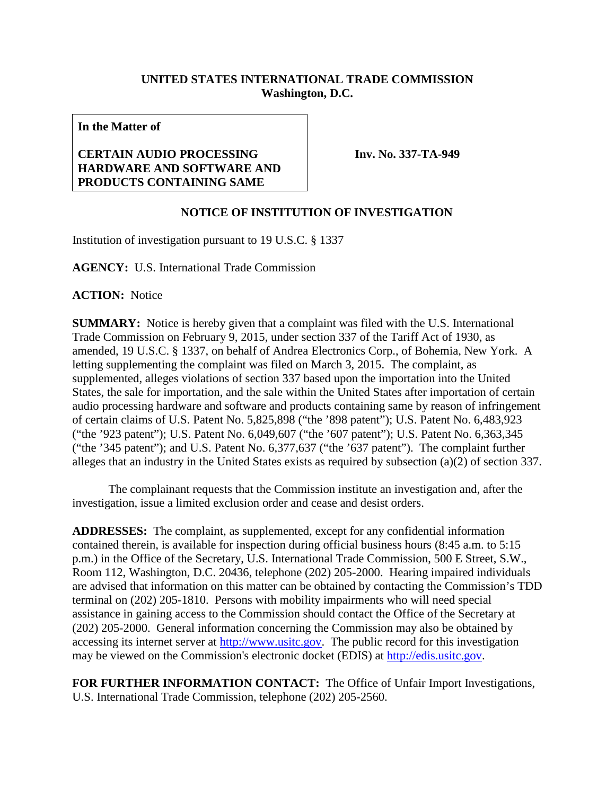## **UNITED STATES INTERNATIONAL TRADE COMMISSION Washington, D.C.**

**In the Matter of**

## **CERTAIN AUDIO PROCESSING HARDWARE AND SOFTWARE AND PRODUCTS CONTAINING SAME**

**Inv. No. 337-TA-949**

## **NOTICE OF INSTITUTION OF INVESTIGATION**

Institution of investigation pursuant to 19 U.S.C. § 1337

**AGENCY:** U.S. International Trade Commission

**ACTION:** Notice

**SUMMARY:** Notice is hereby given that a complaint was filed with the U.S. International Trade Commission on February 9, 2015, under section 337 of the Tariff Act of 1930, as amended, 19 U.S.C. § 1337, on behalf of Andrea Electronics Corp., of Bohemia, New York. A letting supplementing the complaint was filed on March 3, 2015. The complaint, as supplemented, alleges violations of section 337 based upon the importation into the United States, the sale for importation, and the sale within the United States after importation of certain audio processing hardware and software and products containing same by reason of infringement of certain claims of U.S. Patent No. 5,825,898 ("the '898 patent"); U.S. Patent No. 6,483,923 ("the '923 patent"); U.S. Patent No. 6,049,607 ("the '607 patent"); U.S. Patent No. 6,363,345 ("the '345 patent"); and U.S. Patent No. 6,377,637 ("the '637 patent"). The complaint further alleges that an industry in the United States exists as required by subsection (a)(2) of section 337.

The complainant requests that the Commission institute an investigation and, after the investigation, issue a limited exclusion order and cease and desist orders.

**ADDRESSES:** The complaint, as supplemented, except for any confidential information contained therein, is available for inspection during official business hours (8:45 a.m. to 5:15 p.m.) in the Office of the Secretary, U.S. International Trade Commission, 500 E Street, S.W., Room 112, Washington, D.C. 20436, telephone (202) 205-2000. Hearing impaired individuals are advised that information on this matter can be obtained by contacting the Commission's TDD terminal on (202) 205-1810. Persons with mobility impairments who will need special assistance in gaining access to the Commission should contact the Office of the Secretary at (202) 205-2000. General information concerning the Commission may also be obtained by accessing its internet server at [http://www.usitc.gov.](http://www.usitc.gov/) The public record for this investigation may be viewed on the Commission's electronic docket (EDIS) at [http://edis.usitc.gov.](http://edis.usitc.gov/)

**FOR FURTHER INFORMATION CONTACT:** The Office of Unfair Import Investigations, U.S. International Trade Commission, telephone (202) 205-2560.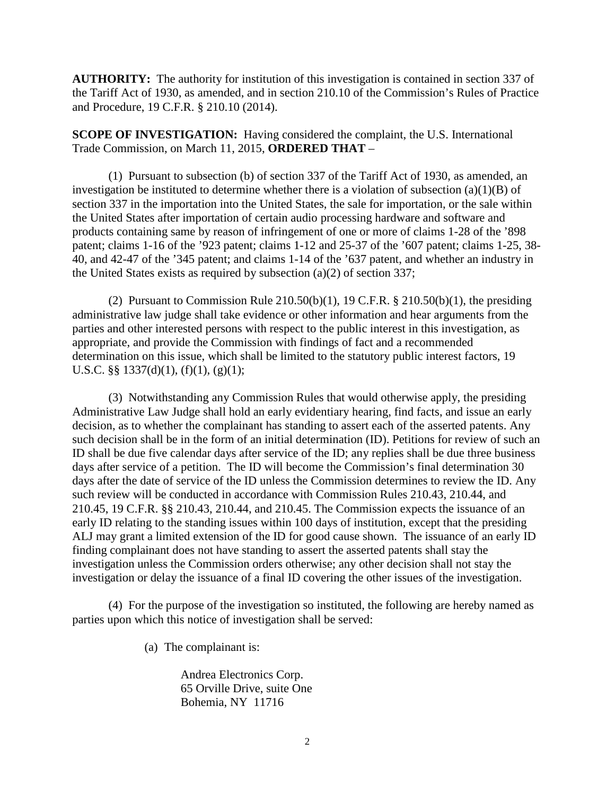**AUTHORITY:** The authority for institution of this investigation is contained in section 337 of the Tariff Act of 1930, as amended, and in section 210.10 of the Commission's Rules of Practice and Procedure, 19 C.F.R. § 210.10 (2014).

**SCOPE OF INVESTIGATION:** Having considered the complaint, the U.S. International Trade Commission, on March 11, 2015, **ORDERED THAT** –

(1) Pursuant to subsection (b) of section 337 of the Tariff Act of 1930, as amended, an investigation be instituted to determine whether there is a violation of subsection  $(a)(1)(B)$  of section 337 in the importation into the United States, the sale for importation, or the sale within the United States after importation of certain audio processing hardware and software and products containing same by reason of infringement of one or more of claims 1-28 of the '898 patent; claims 1-16 of the '923 patent; claims 1-12 and 25-37 of the '607 patent; claims 1-25, 38- 40, and 42-47 of the '345 patent; and claims 1-14 of the '637 patent, and whether an industry in the United States exists as required by subsection (a)(2) of section 337;

(2) Pursuant to Commission Rule  $210.50(b)(1)$ , 19 C.F.R. §  $210.50(b)(1)$ , the presiding administrative law judge shall take evidence or other information and hear arguments from the parties and other interested persons with respect to the public interest in this investigation, as appropriate, and provide the Commission with findings of fact and a recommended determination on this issue, which shall be limited to the statutory public interest factors, 19 U.S.C. §§  $1337(d)(1)$ ,  $(f)(1)$ ,  $(g)(1)$ ;

(3) Notwithstanding any Commission Rules that would otherwise apply, the presiding Administrative Law Judge shall hold an early evidentiary hearing, find facts, and issue an early decision, as to whether the complainant has standing to assert each of the asserted patents. Any such decision shall be in the form of an initial determination (ID). Petitions for review of such an ID shall be due five calendar days after service of the ID; any replies shall be due three business days after service of a petition. The ID will become the Commission's final determination 30 days after the date of service of the ID unless the Commission determines to review the ID. Any such review will be conducted in accordance with Commission Rules 210.43, 210.44, and 210.45, 19 C.F.R. §§ 210.43, 210.44, and 210.45. The Commission expects the issuance of an early ID relating to the standing issues within 100 days of institution, except that the presiding ALJ may grant a limited extension of the ID for good cause shown. The issuance of an early ID finding complainant does not have standing to assert the asserted patents shall stay the investigation unless the Commission orders otherwise; any other decision shall not stay the investigation or delay the issuance of a final ID covering the other issues of the investigation.

(4) For the purpose of the investigation so instituted, the following are hereby named as parties upon which this notice of investigation shall be served:

(a) The complainant is:

Andrea Electronics Corp. 65 Orville Drive, suite One Bohemia, NY 11716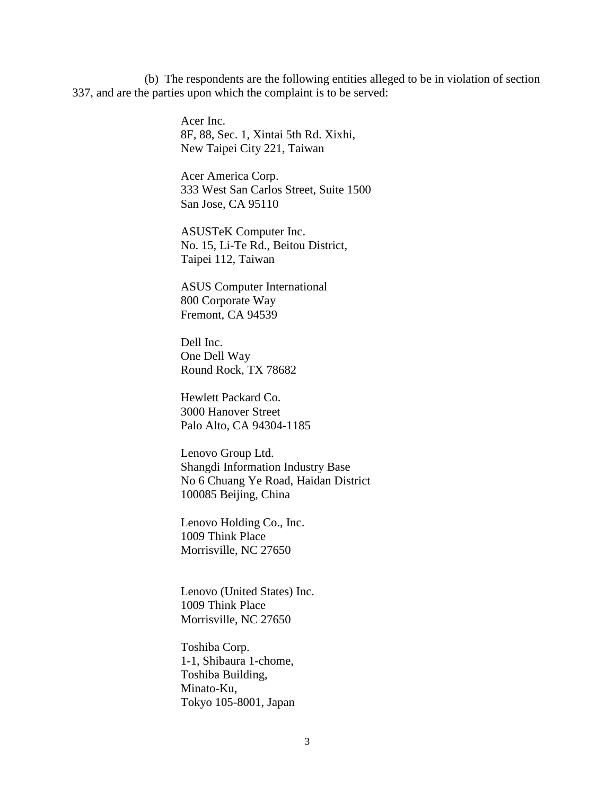(b) The respondents are the following entities alleged to be in violation of section 337, and are the parties upon which the complaint is to be served:

> Acer Inc. 8F, 88, Sec. 1, Xintai 5th Rd. Xixhi, New Taipei City 221, Taiwan

Acer America Corp. 333 West San Carlos Street, Suite 1500 San Jose, CA 95110

ASUSTeK Computer Inc. No. 15, Li-Te Rd., Beitou District, Taipei 112, Taiwan

ASUS Computer International 800 Corporate Way Fremont, CA 94539

Dell Inc. One Dell Way Round Rock, TX 78682

Hewlett Packard Co. 3000 Hanover Street Palo Alto, CA 94304-1185

Lenovo Group Ltd. Shangdi Information Industry Base No 6 Chuang Ye Road, Haidan District 100085 Beijing, China

Lenovo Holding Co., Inc. 1009 Think Place Morrisville, NC 27650

Lenovo (United States) Inc. 1009 Think Place Morrisville, NC 27650

Toshiba Corp. 1-1, Shibaura 1-chome, Toshiba Building, Minato-Ku, Tokyo 105-8001, Japan